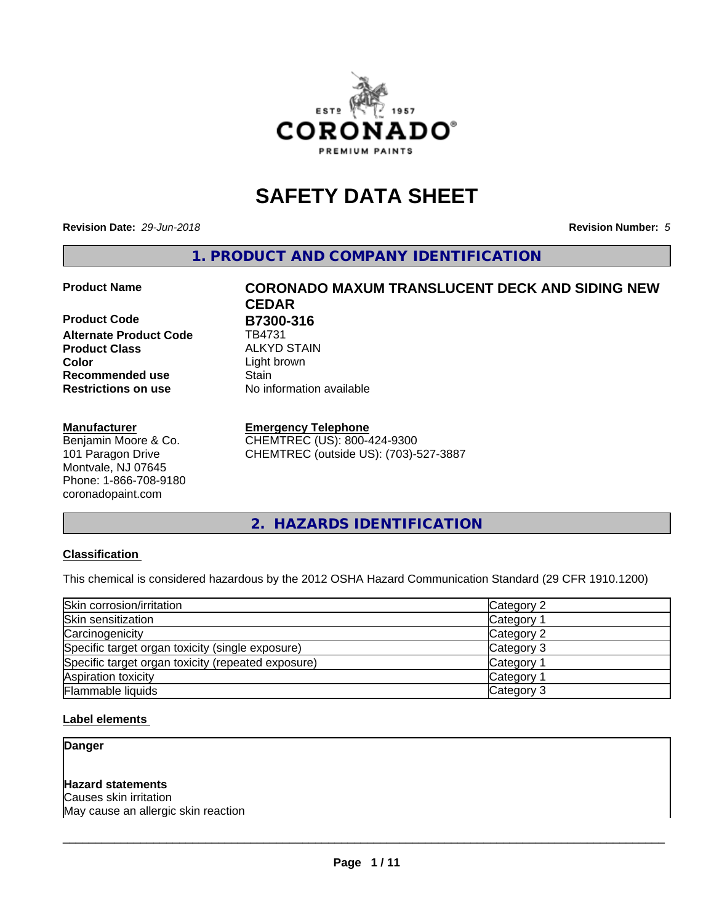

## **SAFETY DATA SHEET**

**Revision Date:** *29-Jun-2018* **Revision Number:** *5*

**1. PRODUCT AND COMPANY IDENTIFICATION**

**Product Code B7300-316 Alternate Product Code** TB4731 **Product Class** ALKYD STAIN<br> **Color** Light brown **Recommended use Stain Restrictions on use** No information available

#### **Manufacturer**

Benjamin Moore & Co. 101 Paragon Drive Montvale, NJ 07645 Phone: 1-866-708-9180 coronadopaint.com

# **Product Name CORONADO MAXUM TRANSLUCENT DECK AND SIDING NEW CEDAR** Light brown

#### **Emergency Telephone**

CHEMTREC (US): 800-424-9300 CHEMTREC (outside US): (703)-527-3887

**2. HAZARDS IDENTIFICATION**

#### **Classification**

This chemical is considered hazardous by the 2012 OSHA Hazard Communication Standard (29 CFR 1910.1200)

| Skin corrosion/irritation                          | Category 2        |
|----------------------------------------------------|-------------------|
| Skin sensitization                                 | Category 1        |
| Carcinogenicity                                    | Category 2        |
| Specific target organ toxicity (single exposure)   | Category 3        |
| Specific target organ toxicity (repeated exposure) | Category 1        |
| Aspiration toxicity                                | <b>Category 1</b> |
| Flammable liquids                                  | Category 3        |

#### **Label elements**

**Danger**

#### **Hazard statements**

Causes skin irritation May cause an allergic skin reaction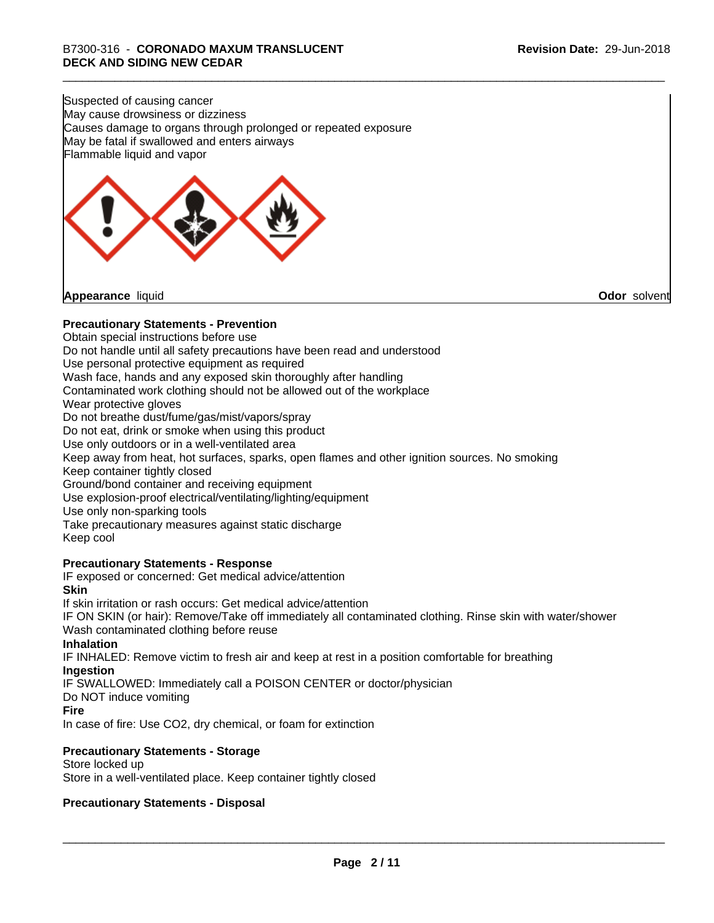Suspected of causing cancer May cause drowsiness or dizziness Causes damage to organs through prolonged or repeated exposure May be fatal if swallowed and enters airways Flammable liquid and vapor

**Appearance** liquid **Odor** solvent

#### **Precautionary Statements - Prevention**

Obtain special instructions before use Do not handle until all safety precautions have been read and understood Use personal protective equipment as required Wash face, hands and any exposed skin thoroughly after handling Contaminated work clothing should not be allowed out of the workplace Wear protective gloves Do not breathe dust/fume/gas/mist/vapors/spray Do not eat, drink or smoke when using this product Use only outdoors or in a well-ventilated area Keep away from heat, hot surfaces, sparks, open flames and other ignition sources. No smoking Keep container tightly closed Ground/bond container and receiving equipment Use explosion-proof electrical/ventilating/lighting/equipment Use only non-sparking tools Take precautionary measures against static discharge Keep cool **Precautionary Statements - Response** IF exposed or concerned: Get medical advice/attention **Skin** If skin irritation or rash occurs: Get medical advice/attention

IF ON SKIN (or hair): Remove/Take off immediately all contaminated clothing. Rinse skin with water/shower Wash contaminated clothing before reuse

#### **Inhalation**

IF INHALED: Remove victim to fresh air and keep at rest in a position comfortable for breathing **Ingestion**

IF SWALLOWED: Immediately call a POISON CENTER or doctor/physician

Do NOT induce vomiting

#### **Fire**

In case of fire: Use CO2, dry chemical, or foam for extinction

#### **Precautionary Statements - Storage**

Store locked up Store in a well-ventilated place. Keep container tightly closed

#### **Precautionary Statements - Disposal**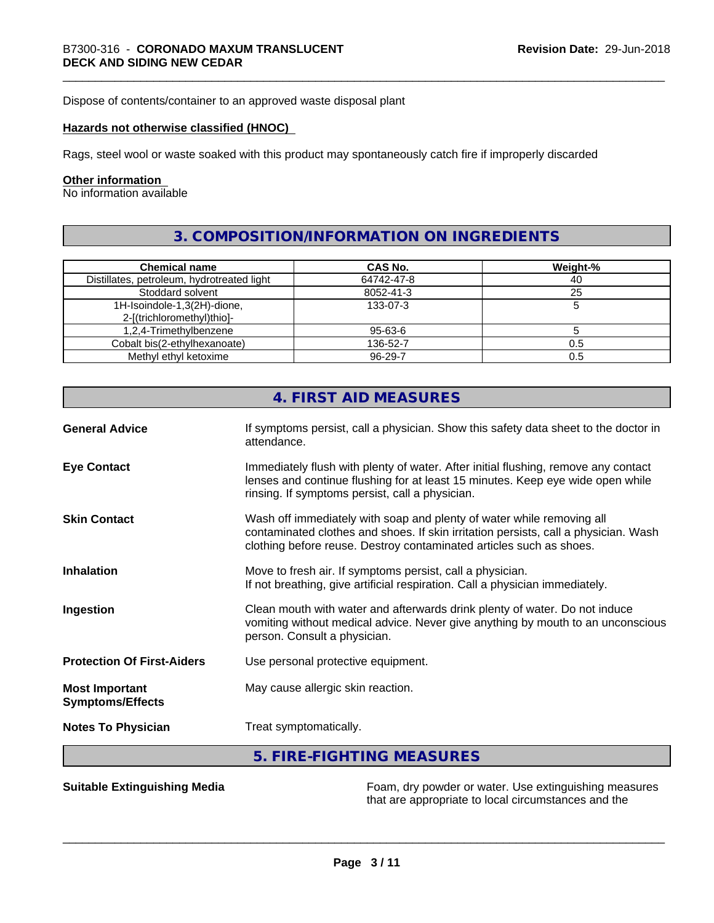Dispose of contents/container to an approved waste disposal plant

#### **Hazards not otherwise classified (HNOC)**

Rags, steel wool or waste soaked with this product may spontaneously catch fire if improperly discarded

#### **Other information**

No information available

### **3. COMPOSITION/INFORMATION ON INGREDIENTS**

| <b>Chemical name</b>                       | <b>CAS No.</b> | Weight-% |
|--------------------------------------------|----------------|----------|
| Distillates, petroleum, hydrotreated light | 64742-47-8     | 40       |
| Stoddard solvent                           | 8052-41-3      | 25       |
| 1H-Isoindole-1,3(2H)-dione,                | 133-07-3       |          |
| 2-[(trichloromethyl)thio]-                 |                |          |
| 1,2,4-Trimethylbenzene                     | 95-63-6        |          |
| Cobalt bis(2-ethylhexanoate)               | 136-52-7       | 0.5      |
| Methyl ethyl ketoxime                      | 96-29-7        | 0.5      |

|                                                  | 4. FIRST AID MEASURES                                                                                                                                                                                                               |
|--------------------------------------------------|-------------------------------------------------------------------------------------------------------------------------------------------------------------------------------------------------------------------------------------|
| <b>General Advice</b>                            | If symptoms persist, call a physician. Show this safety data sheet to the doctor in<br>attendance.                                                                                                                                  |
| <b>Eye Contact</b>                               | Immediately flush with plenty of water. After initial flushing, remove any contact<br>lenses and continue flushing for at least 15 minutes. Keep eye wide open while<br>rinsing. If symptoms persist, call a physician.             |
| <b>Skin Contact</b>                              | Wash off immediately with soap and plenty of water while removing all<br>contaminated clothes and shoes. If skin irritation persists, call a physician. Wash<br>clothing before reuse. Destroy contaminated articles such as shoes. |
| <b>Inhalation</b>                                | Move to fresh air. If symptoms persist, call a physician.<br>If not breathing, give artificial respiration. Call a physician immediately.                                                                                           |
| Ingestion                                        | Clean mouth with water and afterwards drink plenty of water. Do not induce<br>vomiting without medical advice. Never give anything by mouth to an unconscious<br>person. Consult a physician.                                       |
| <b>Protection Of First-Aiders</b>                | Use personal protective equipment.                                                                                                                                                                                                  |
| <b>Most Important</b><br><b>Symptoms/Effects</b> | May cause allergic skin reaction.                                                                                                                                                                                                   |
| <b>Notes To Physician</b>                        | Treat symptomatically.                                                                                                                                                                                                              |
|                                                  | 5. FIRE-FIGHTING MEASURES                                                                                                                                                                                                           |

**Suitable Extinguishing Media** Foam, dry powder or water. Use extinguishing measures that are appropriate to local circumstances and the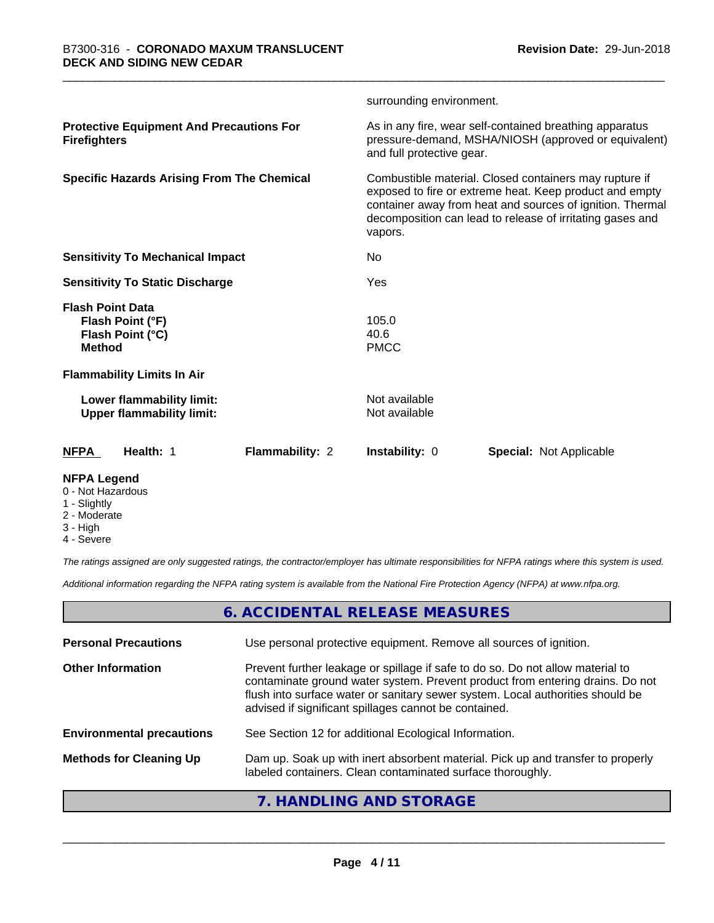|                                                                                  |                 | surrounding environment.                                                                                                                                                                                                                               |                                |  |
|----------------------------------------------------------------------------------|-----------------|--------------------------------------------------------------------------------------------------------------------------------------------------------------------------------------------------------------------------------------------------------|--------------------------------|--|
| <b>Protective Equipment And Precautions For</b><br><b>Firefighters</b>           |                 | As in any fire, wear self-contained breathing apparatus<br>pressure-demand, MSHA/NIOSH (approved or equivalent)<br>and full protective gear.                                                                                                           |                                |  |
| <b>Specific Hazards Arising From The Chemical</b>                                |                 | Combustible material. Closed containers may rupture if<br>exposed to fire or extreme heat. Keep product and empty<br>container away from heat and sources of ignition. Thermal<br>decomposition can lead to release of irritating gases and<br>vapors. |                                |  |
| <b>Sensitivity To Mechanical Impact</b>                                          |                 | No                                                                                                                                                                                                                                                     |                                |  |
| <b>Sensitivity To Static Discharge</b>                                           |                 | Yes                                                                                                                                                                                                                                                    |                                |  |
| <b>Flash Point Data</b><br>Flash Point (°F)<br>Flash Point (°C)<br><b>Method</b> |                 | 105.0<br>40.6<br><b>PMCC</b>                                                                                                                                                                                                                           |                                |  |
| <b>Flammability Limits In Air</b>                                                |                 |                                                                                                                                                                                                                                                        |                                |  |
| Lower flammability limit:<br><b>Upper flammability limit:</b>                    |                 | Not available<br>Not available                                                                                                                                                                                                                         |                                |  |
| <b>NFPA</b><br>Health: 1                                                         | Flammability: 2 | Instability: 0                                                                                                                                                                                                                                         | <b>Special: Not Applicable</b> |  |
|                                                                                  |                 |                                                                                                                                                                                                                                                        |                                |  |

#### **NFPA Legend**

- 0 Not Hazardous
- 1 Slightly
- 2 Moderate
- 3 High
- 4 Severe

*The ratings assigned are only suggested ratings, the contractor/employer has ultimate responsibilities for NFPA ratings where this system is used.*

*Additional information regarding the NFPA rating system is available from the National Fire Protection Agency (NFPA) at www.nfpa.org.*

#### **6. ACCIDENTAL RELEASE MEASURES**

| <b>Personal Precautions</b>      | Use personal protective equipment. Remove all sources of ignition.                                                                                                                                                                                                                                         |
|----------------------------------|------------------------------------------------------------------------------------------------------------------------------------------------------------------------------------------------------------------------------------------------------------------------------------------------------------|
| <b>Other Information</b>         | Prevent further leakage or spillage if safe to do so. Do not allow material to<br>contaminate ground water system. Prevent product from entering drains. Do not<br>flush into surface water or sanitary sewer system. Local authorities should be<br>advised if significant spillages cannot be contained. |
| <b>Environmental precautions</b> | See Section 12 for additional Ecological Information.                                                                                                                                                                                                                                                      |
| <b>Methods for Cleaning Up</b>   | Dam up. Soak up with inert absorbent material. Pick up and transfer to properly<br>labeled containers. Clean contaminated surface thoroughly.                                                                                                                                                              |
|                                  |                                                                                                                                                                                                                                                                                                            |

#### **7. HANDLING AND STORAGE**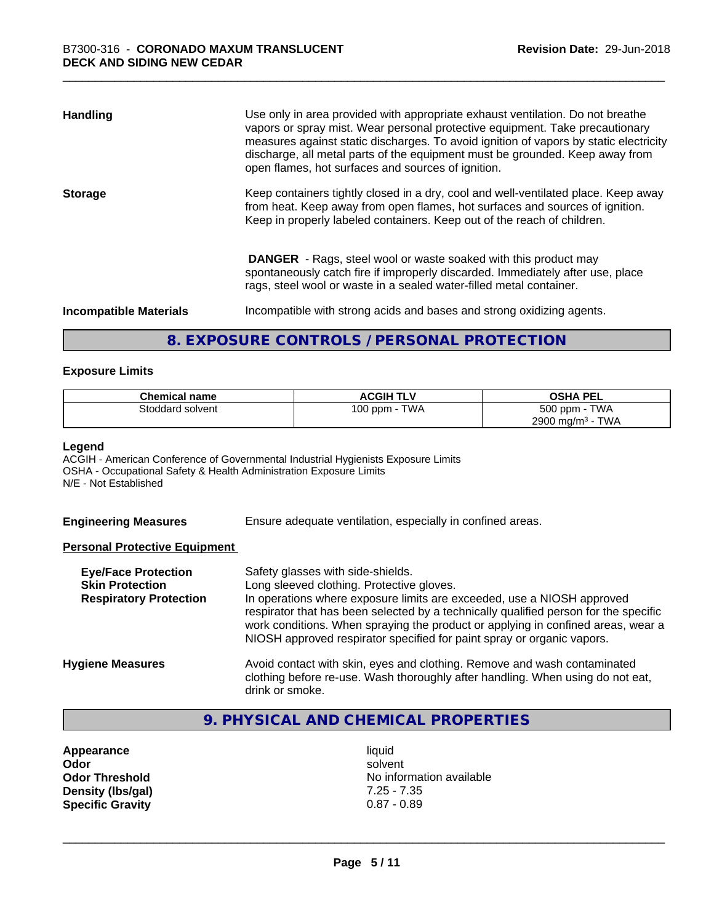| <b>Handling</b>               | Use only in area provided with appropriate exhaust ventilation. Do not breathe<br>vapors or spray mist. Wear personal protective equipment. Take precautionary<br>measures against static discharges. To avoid ignition of vapors by static electricity<br>discharge, all metal parts of the equipment must be grounded. Keep away from<br>open flames, hot surfaces and sources of ignition. |
|-------------------------------|-----------------------------------------------------------------------------------------------------------------------------------------------------------------------------------------------------------------------------------------------------------------------------------------------------------------------------------------------------------------------------------------------|
| <b>Storage</b>                | Keep containers tightly closed in a dry, cool and well-ventilated place. Keep away<br>from heat. Keep away from open flames, hot surfaces and sources of ignition.<br>Keep in properly labeled containers. Keep out of the reach of children.                                                                                                                                                 |
|                               | <b>DANGER</b> - Rags, steel wool or waste soaked with this product may<br>spontaneously catch fire if improperly discarded. Immediately after use, place<br>rags, steel wool or waste in a sealed water-filled metal container.                                                                                                                                                               |
| <b>Incompatible Materials</b> | Incompatible with strong acids and bases and strong oxidizing agents.                                                                                                                                                                                                                                                                                                                         |

#### **8. EXPOSURE CONTROLS / PERSONAL PROTECTION**

#### **Exposure Limits**

| <b>Chemical name</b> | <b>ACGIH TLV</b> | <b>OSHA PEL</b>                        |
|----------------------|------------------|----------------------------------------|
| Stoddard solvent     | TWA<br>100 ppm   | 500 ppm -<br><b>TWA</b>                |
|                      |                  | <b>TWA</b><br>2900 mg/m <sup>3</sup> - |

#### **Legend**

ACGIH - American Conference of Governmental Industrial Hygienists Exposure Limits OSHA - Occupational Safety & Health Administration Exposure Limits N/E - Not Established

**Engineering Measures** Ensure adequate ventilation, especially in confined areas.

#### **Personal Protective Equipment**

| <b>Eye/Face Protection</b><br><b>Skin Protection</b><br><b>Respiratory Protection</b> | Safety glasses with side-shields.<br>Long sleeved clothing. Protective gloves.<br>In operations where exposure limits are exceeded, use a NIOSH approved<br>respirator that has been selected by a technically qualified person for the specific<br>work conditions. When spraying the product or applying in confined areas, wear a<br>NIOSH approved respirator specified for paint spray or organic vapors. |
|---------------------------------------------------------------------------------------|----------------------------------------------------------------------------------------------------------------------------------------------------------------------------------------------------------------------------------------------------------------------------------------------------------------------------------------------------------------------------------------------------------------|
| <b>Hygiene Measures</b>                                                               | Avoid contact with skin, eyes and clothing. Remove and wash contaminated<br>clothing before re-use. Wash thoroughly after handling. When using do not eat,<br>drink or smoke.                                                                                                                                                                                                                                  |

## **9. PHYSICAL AND CHEMICAL PROPERTIES**

**Appearance** liquid<br> **Appearance** liquid<br> **Odor** solver **Density (lbs/gal)** 7.25 - 7.35<br> **Specific Gravity** 0.87 - 0.89 **Specific Gravity** 

**Odor** solvent **Odor Threshold** No information available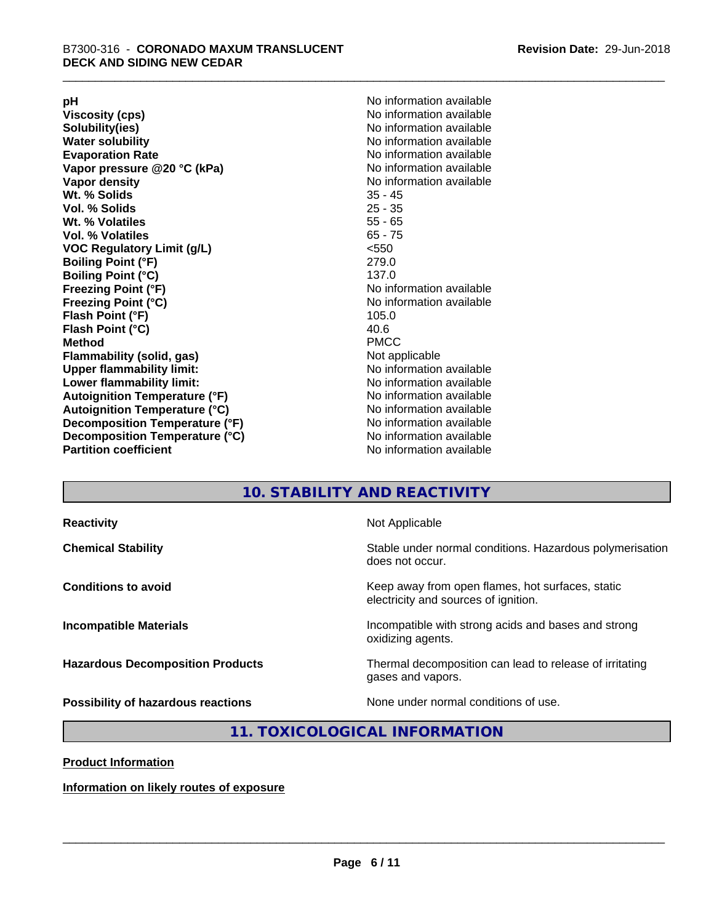**Viscosity (cps)** <br> **Viscosity (cps)** No information available<br>
No information available<br>
No information available **Water solubility**<br> **Evaporation Rate**<br> **Evaporation Rate**<br> **Evaporation Rate Vapor** pressure @20 °C (kPa) **Vapor density No information available Wt. % Solids** 35 - 45 **Vol. % Solids Wt. % Volatiles** 55 - 65 **Vol. % Volatiles** 65 - 75 **VOC Regulatory Limit (g/L)** <550 **Boiling Point (°F)** 279.0 **Boiling Point (°C)**<br>Freezing Point (°F) **Freezing Point (°C)** No information available **Flash Point (°F)** 105.0 **Flash Point (°C)** 40.6 **Method** PMCC **Flammability (solid, gas)** Not applicable **Upper flammability limit:** No information available **Lower flammability limit:** No information available **Autoignition Temperature (°F)** No information available **Autoignition Temperature (°C)** No information available **Decomposition Temperature (°F)**<br> **Decomposition Temperature (°C)** No information available<br>
No information available **Decomposition Temperature (°C)**<br>Partition coefficient

**pH**<br>
Viscosity (cps) The Contract of the Contract of No information available<br>
No information available **Solubility(ies)** No information available No information available<br>No information available **No information available No information available** 

#### **10. STABILITY AND REACTIVITY**

| <b>Reactivity</b>                         | Not Applicable                                                                           |
|-------------------------------------------|------------------------------------------------------------------------------------------|
| <b>Chemical Stability</b>                 | Stable under normal conditions. Hazardous polymerisation<br>does not occur.              |
| <b>Conditions to avoid</b>                | Keep away from open flames, hot surfaces, static<br>electricity and sources of ignition. |
| <b>Incompatible Materials</b>             | Incompatible with strong acids and bases and strong<br>oxidizing agents.                 |
| <b>Hazardous Decomposition Products</b>   | Thermal decomposition can lead to release of irritating<br>gases and vapors.             |
| <b>Possibility of hazardous reactions</b> | None under normal conditions of use.                                                     |

#### **11. TOXICOLOGICAL INFORMATION**

#### **Product Information**

**Information on likely routes of exposure**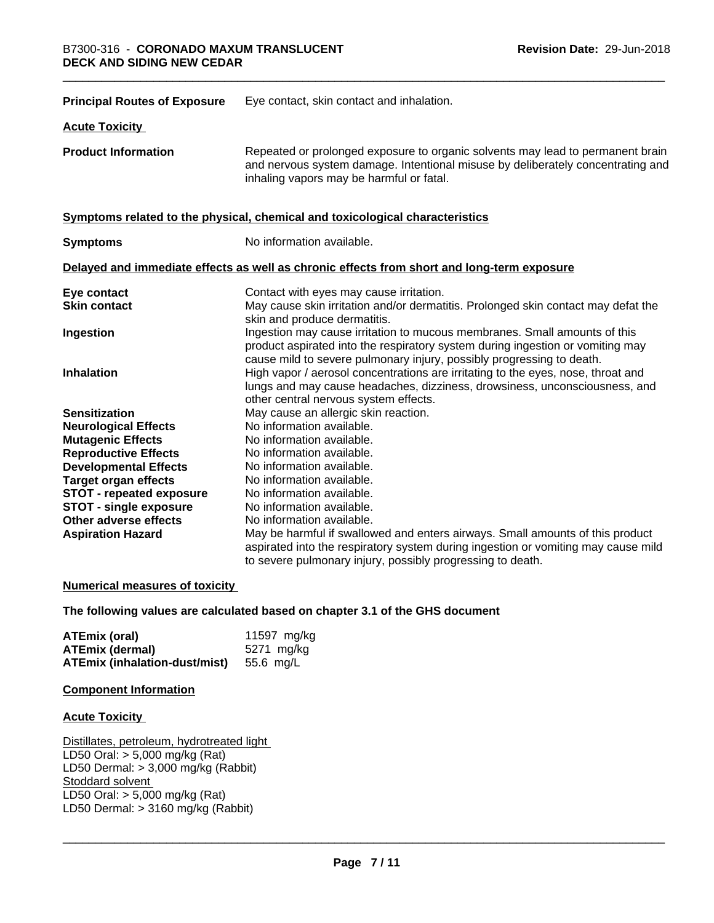| <b>Principal Routes of Exposure</b> | Eye contact, skin contact and inhalation.                                                                                                                                                                                            |
|-------------------------------------|--------------------------------------------------------------------------------------------------------------------------------------------------------------------------------------------------------------------------------------|
| <b>Acute Toxicity</b>               |                                                                                                                                                                                                                                      |
| <b>Product Information</b>          | Repeated or prolonged exposure to organic solvents may lead to permanent brain<br>and nervous system damage. Intentional misuse by deliberately concentrating and<br>inhaling vapors may be harmful or fatal.                        |
|                                     | Symptoms related to the physical, chemical and toxicological characteristics                                                                                                                                                         |
| <b>Symptoms</b>                     | No information available.                                                                                                                                                                                                            |
|                                     | Delayed and immediate effects as well as chronic effects from short and long-term exposure                                                                                                                                           |
| Eye contact                         | Contact with eyes may cause irritation.                                                                                                                                                                                              |
| <b>Skin contact</b>                 | May cause skin irritation and/or dermatitis. Prolonged skin contact may defat the<br>skin and produce dermatitis.                                                                                                                    |
| Ingestion                           | Ingestion may cause irritation to mucous membranes. Small amounts of this<br>product aspirated into the respiratory system during ingestion or vomiting may<br>cause mild to severe pulmonary injury, possibly progressing to death. |
| <b>Inhalation</b>                   | High vapor / aerosol concentrations are irritating to the eyes, nose, throat and<br>lungs and may cause headaches, dizziness, drowsiness, unconsciousness, and<br>other central nervous system effects.                              |
| <b>Sensitization</b>                | May cause an allergic skin reaction.                                                                                                                                                                                                 |
| <b>Neurological Effects</b>         | No information available.                                                                                                                                                                                                            |
| <b>Mutagenic Effects</b>            | No information available.                                                                                                                                                                                                            |
| <b>Reproductive Effects</b>         | No information available.                                                                                                                                                                                                            |
| <b>Developmental Effects</b>        | No information available.                                                                                                                                                                                                            |
| <b>Target organ effects</b>         | No information available.                                                                                                                                                                                                            |
| STOT - repeated exposure            | No information available.                                                                                                                                                                                                            |
| <b>STOT - single exposure</b>       | No information available.                                                                                                                                                                                                            |
| Other adverse effects               | No information available.                                                                                                                                                                                                            |
| <b>Aspiration Hazard</b>            | May be harmful if swallowed and enters airways. Small amounts of this product                                                                                                                                                        |
|                                     | aspirated into the respiratory system during ingestion or vomiting may cause mild                                                                                                                                                    |
|                                     | to severe pulmonary injury, possibly progressing to death.                                                                                                                                                                           |

#### **Numerical measures of toxicity**

#### **The following values are calculated based on chapter 3.1 of the GHS document**

| ATEmix (oral)                           | 11597 mg/kg |
|-----------------------------------------|-------------|
| <b>ATEmix (dermal)</b>                  | 5271 mg/kg  |
| ATEmix (inhalation-dust/mist) 55.6 mg/L |             |

#### **Component Information**

#### **Acute Toxicity**

Distillates, petroleum, hydrotreated light LD50 Oral: > 5,000 mg/kg (Rat) LD50 Dermal: > 3,000 mg/kg (Rabbit) Stoddard solvent LD50 Oral: > 5,000 mg/kg (Rat) LD50 Dermal:  $> 3160$  mg/kg (Rabbit)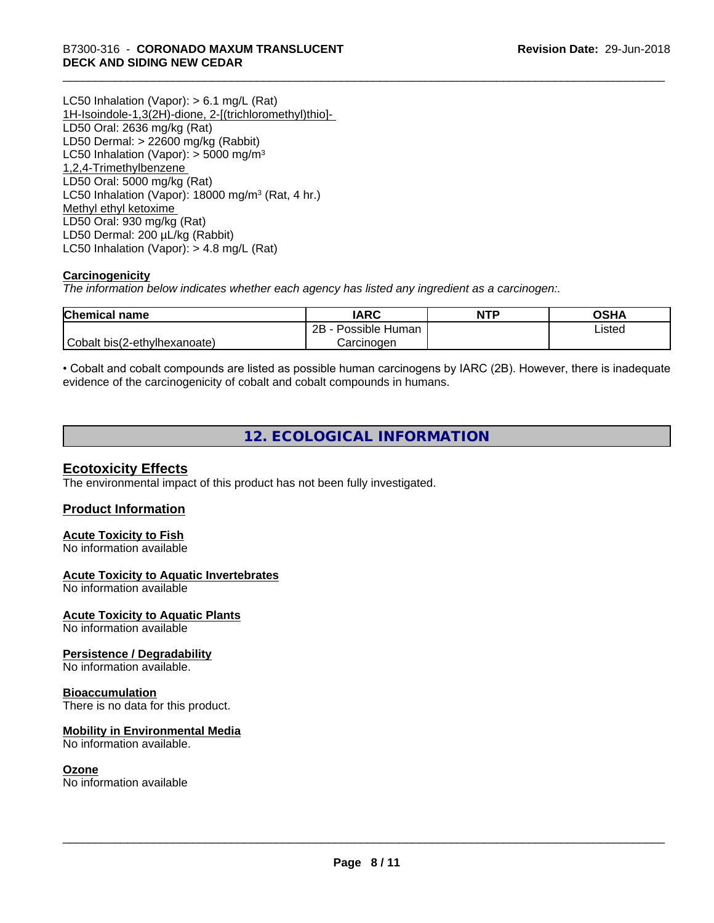LC50 Inhalation (Vapor): > 6.1 mg/L (Rat) 1H-Isoindole-1,3(2H)-dione, 2-[(trichloromethyl)thio]- LD50 Oral: 2636 mg/kg (Rat) LD50 Dermal: > 22600 mg/kg (Rabbit) LC50 Inhalation (Vapor):  $>$  5000 mg/m<sup>3</sup> 1,2,4-Trimethylbenzene LD50 Oral: 5000 mg/kg (Rat) LC50 Inhalation (Vapor): 18000 mg/m<sup>3</sup> (Rat, 4 hr.) Methyl ethyl ketoxime LD50 Oral: 930 mg/kg (Rat) LD50 Dermal: 200 µL/kg (Rabbit) LC50 Inhalation (Vapor): > 4.8 mg/L (Rat)

#### **Carcinogenicity**

*The information below indicateswhether each agency has listed any ingredient as a carcinogen:.*

| <b>Chemical name</b>         | <b>IARC</b>          | <b>NTP</b> | <b>OSHA</b> |
|------------------------------|----------------------|------------|-------------|
|                              | Possible Human<br>2B |            | Listed      |
| Cobalt bis(2-ethylhexanoate) | Carcinoɑen           |            |             |

• Cobalt and cobalt compounds are listed as possible human carcinogens by IARC (2B). However, there is inadequate evidence of the carcinogenicity of cobalt and cobalt compounds in humans.

#### **12. ECOLOGICAL INFORMATION**

#### **Ecotoxicity Effects**

The environmental impact of this product has not been fully investigated.

#### **Product Information**

#### **Acute Toxicity to Fish**

No information available

#### **Acute Toxicity to Aquatic Invertebrates**

No information available

#### **Acute Toxicity to Aquatic Plants**

No information available

#### **Persistence / Degradability**

No information available.

#### **Bioaccumulation**

There is no data for this product.

#### **Mobility in Environmental Media**

No information available.

#### **Ozone**

No information available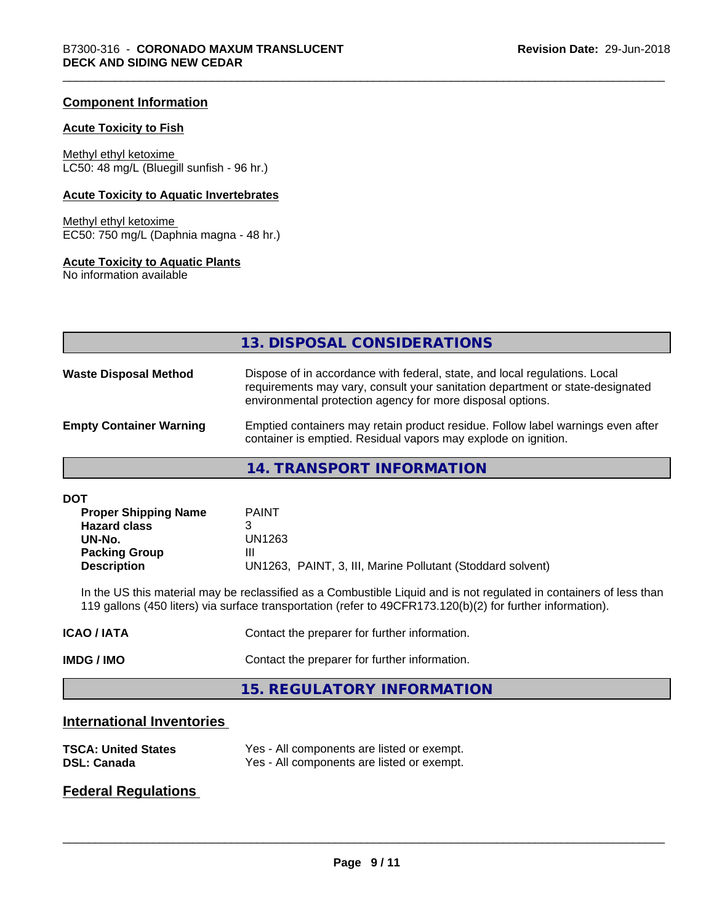#### **Component Information**

#### **Acute Toxicity to Fish**

Methyl ethyl ketoxime LC50: 48 mg/L (Bluegill sunfish - 96 hr.)

#### **Acute Toxicity to Aquatic Invertebrates**

Methyl ethyl ketoxime EC50: 750 mg/L (Daphnia magna - 48 hr.)

#### **Acute Toxicity to Aquatic Plants**

No information available

|                                | 13. DISPOSAL CONSIDERATIONS                                                                                                                                                                                               |
|--------------------------------|---------------------------------------------------------------------------------------------------------------------------------------------------------------------------------------------------------------------------|
| <b>Waste Disposal Method</b>   | Dispose of in accordance with federal, state, and local regulations. Local<br>requirements may vary, consult your sanitation department or state-designated<br>environmental protection agency for more disposal options. |
| <b>Empty Container Warning</b> | Emptied containers may retain product residue. Follow label warnings even after<br>container is emptied. Residual vapors may explode on ignition.                                                                         |

#### **14. TRANSPORT INFORMATION**

| DOT                         |                                                            |
|-----------------------------|------------------------------------------------------------|
| <b>Proper Shipping Name</b> | <b>PAINT</b>                                               |
| <b>Hazard class</b>         |                                                            |
| UN-No.                      | UN1263                                                     |
| <b>Packing Group</b>        | Ш                                                          |
| <b>Description</b>          | UN1263, PAINT, 3, III, Marine Pollutant (Stoddard solvent) |

In the US this material may be reclassified as a Combustible Liquid and is not regulated in containers of less than 119 gallons (450 liters) via surface transportation (refer to 49CFR173.120(b)(2) for further information).

| IMDG / IMO       | Contact the preparer for further information. |
|------------------|-----------------------------------------------|
| <b>ICAO/IATA</b> | Contact the preparer for further information. |

#### **15. REGULATORY INFORMATION**

#### **International Inventories**

| <b>TSCA: United States</b> | Yes - All components are listed or exempt. |
|----------------------------|--------------------------------------------|
| <b>DSL: Canada</b>         | Yes - All components are listed or exempt. |

#### **Federal Regulations**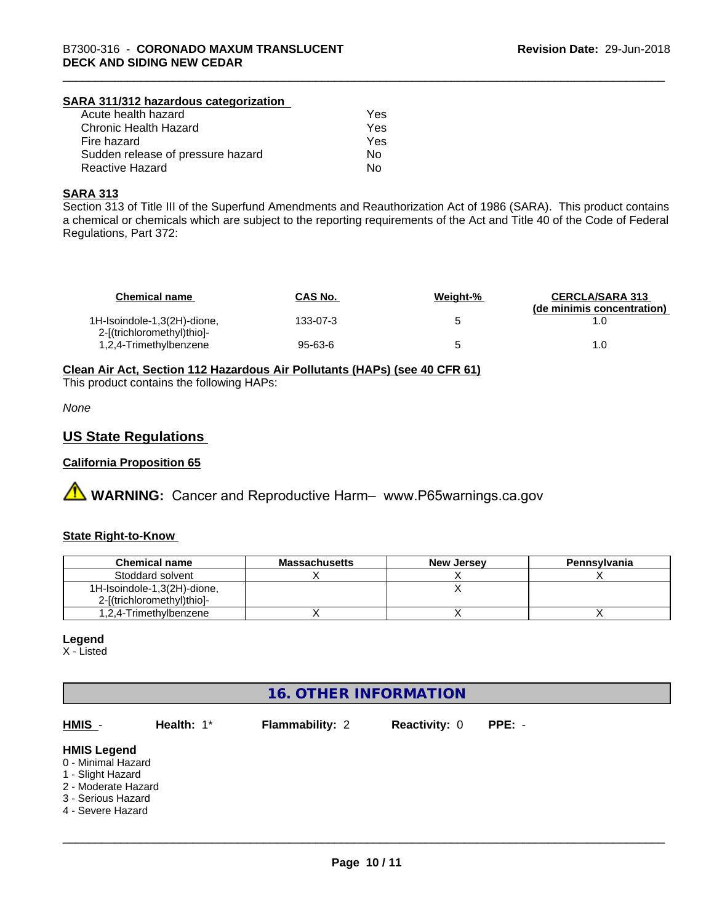#### **SARA 311/312 hazardous categorization**

| Acute health hazard               | Yes |
|-----------------------------------|-----|
| Chronic Health Hazard             | Yes |
| Fire hazard                       | Yes |
| Sudden release of pressure hazard | Nο  |
| Reactive Hazard                   | Nο  |

#### **SARA 313**

Section 313 of Title III of the Superfund Amendments and Reauthorization Act of 1986 (SARA). This product contains a chemical or chemicals which are subject to the reporting requirements of the Act and Title 40 of the Code of Federal Regulations, Part 372:

| <b>Chemical name</b>                                      | <b>CAS No.</b> | Weight-% | <b>CERCLA/SARA 313</b><br>(de minimis concentration) |
|-----------------------------------------------------------|----------------|----------|------------------------------------------------------|
| 1H-Isoindole-1,3(2H)-dione,<br>2-[(trichloromethyl)thio]- | 133-07-3       | 'n       |                                                      |
| 1,2,4-Trimethylbenzene                                    | 95-63-6        |          |                                                      |

**Clean Air Act,Section 112 Hazardous Air Pollutants (HAPs) (see 40 CFR 61)**

This product contains the following HAPs:

*None*

#### **US State Regulations**

#### **California Proposition 65**

**A WARNING:** Cancer and Reproductive Harm– www.P65warnings.ca.gov

#### **State Right-to-Know**

| <b>Chemical name</b>        | <b>Massachusetts</b> | <b>New Jersey</b> | <b>Pennsylvania</b> |
|-----------------------------|----------------------|-------------------|---------------------|
| Stoddard solvent            |                      |                   |                     |
| 1H-Isoindole-1,3(2H)-dione, |                      |                   |                     |
| 2-f(trichloromethyl)thiol-  |                      |                   |                     |
| 1,2,4-Trimethylbenzene      |                      |                   |                     |

#### **Legend**

X - Listed

| <b>16. OTHER INFORMATION</b>                                                                                                    |            |                        |                      |          |  |
|---------------------------------------------------------------------------------------------------------------------------------|------------|------------------------|----------------------|----------|--|
| HMIS -                                                                                                                          | Health: 1* | <b>Flammability: 2</b> | <b>Reactivity: 0</b> | $PPE: -$ |  |
| <b>HMIS Legend</b><br>0 - Minimal Hazard<br>1 - Slight Hazard<br>2 - Moderate Hazard<br>3 - Serious Hazard<br>4 - Severe Hazard |            |                        |                      |          |  |